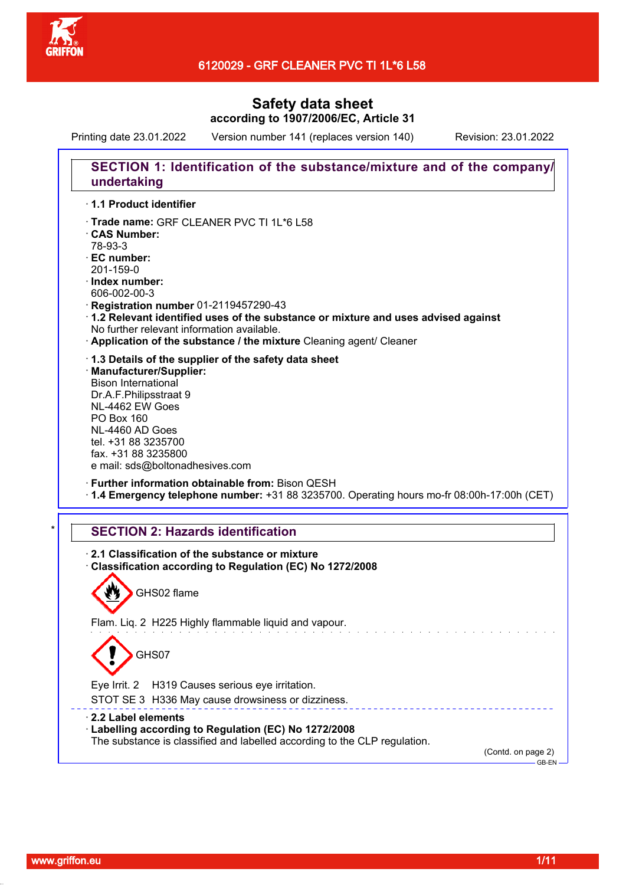

## 6120029 - GRF CLEANER PVC TI 1L\*6 L58

# **Safety data sheet according to 1907/2006/EC, Article 31**

Printing date 23.01.2022 Version number 141 (replaces version 140) Revision: 23.01.2022

# **SECTION 1: Identification of the substance/mixture and of the company/ undertaking**

### · **1.1 Product identifier**

- · Trade name: GRF CLEANER PVC TI 1L\*6 L58
- · **CAS Number:**
- 78-93-3
- · **EC number:**
- 201-159-0
- · **Index number:**
- 606-002-00-3
- · **Registration number** 01-2119457290-43
- · **1.2 Relevant identified uses of the substance or mixture and uses advised against** No further relevant information available.
- · **Application of the substance / the mixture** Cleaning agent/ Cleaner
- · **1.3 Details of the supplier of the safety data sheet**
- · **Manufacturer/Supplier:** Bison International Dr.A.F.Philipsstraat 9 NL-4462 EW Goes PO Box 160 NL-4460 AD Goes tel. +31 88 3235700 fax. +31 88 3235800 e mail: sds@boltonadhesives.com
- · **Further information obtainable from:** Bison QESH · **1.4 Emergency telephone number:** +31 88 3235700. Operating hours mo-fr 08:00h-17:00h (CET)

### **SECTION 2: Hazards identification**

· **2.1 Classification of the substance or mixture** · **Classification according to Regulation (EC) No 1272/2008** GHS02 flame Flam. Liq. 2 H225 Highly flammable liquid and vapour. GHS07 Eye Irrit. 2 H319 Causes serious eye irritation. STOT SE 3 H336 May cause drowsiness or dizziness. · **2.2 Label elements** · **Labelling according to Regulation (EC) No 1272/2008** The substance is classified and labelled according to the CLP regulation. (Contd. on page 2)  $-$ GB-EN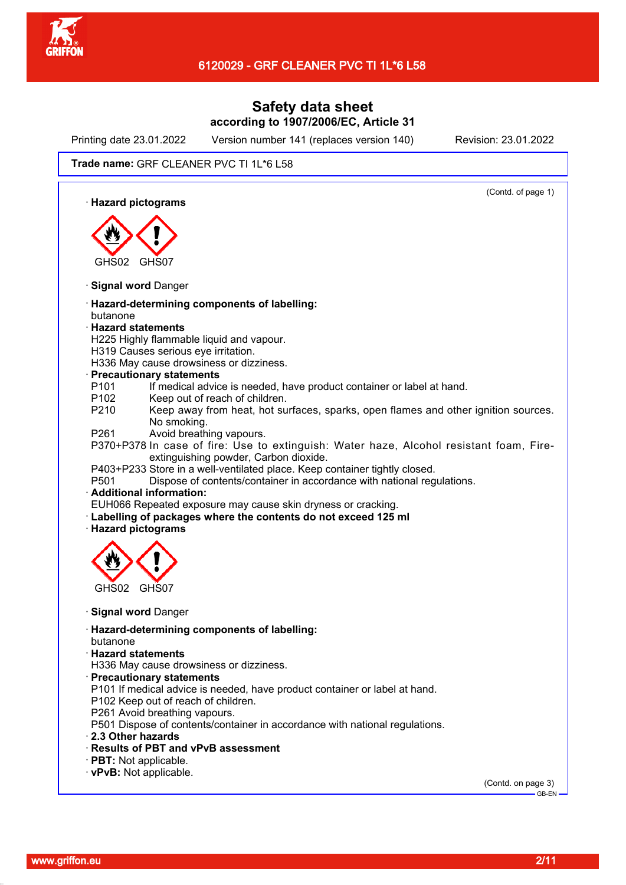

Printing date 23.01.2022 Version number 141 (replaces version 140) Revision: 23.01.2022

(Contd. of page 1)

#### Trade name: GRF CLEANER PVC TI 1L\*6 L58

· **Hazard pictograms**



- · **Signal word** Danger
- · **Hazard-determining components of labelling:** butanone
- · **Hazard statements**
- H225 Highly flammable liquid and vapour.
- H319 Causes serious eye irritation.
- H336 May cause drowsiness or dizziness.
- · **Precautionary statements**
- P101 If medical advice is needed, have product container or label at hand.
- P102 Keep out of reach of children.
- P210 Keep away from heat, hot surfaces, sparks, open flames and other ignition sources. No smoking.
- P261 Avoid breathing vapours.
- P370+P378 In case of fire: Use to extinguish: Water haze, Alcohol resistant foam, Fireextinguishing powder, Carbon dioxide.
- P403+P233 Store in a well-ventilated place. Keep container tightly closed.
- P501 Dispose of contents/container in accordance with national regulations.

### · **Additional information:**

EUH066 Repeated exposure may cause skin dryness or cracking.

- Labelling of packages where the contents do not exceed 125 ml
- · **Hazard pictograms**



- · **Signal word** Danger
- · **Hazard-determining components of labelling:**
- butanone
- · **Hazard statements**
- H336 May cause drowsiness or dizziness.
- · **Precautionary statements**
- P101 If medical advice is needed, have product container or label at hand.
- P102 Keep out of reach of children.
- P261 Avoid breathing vapours.
- P501 Dispose of contents/container in accordance with national regulations.
- · **2.3 Other hazards**
- · **Results of PBT and vPvB assessment**
- · **PBT:** Not applicable.
- · **vPvB:** Not applicable.

(Contd. on page 3) GB-EN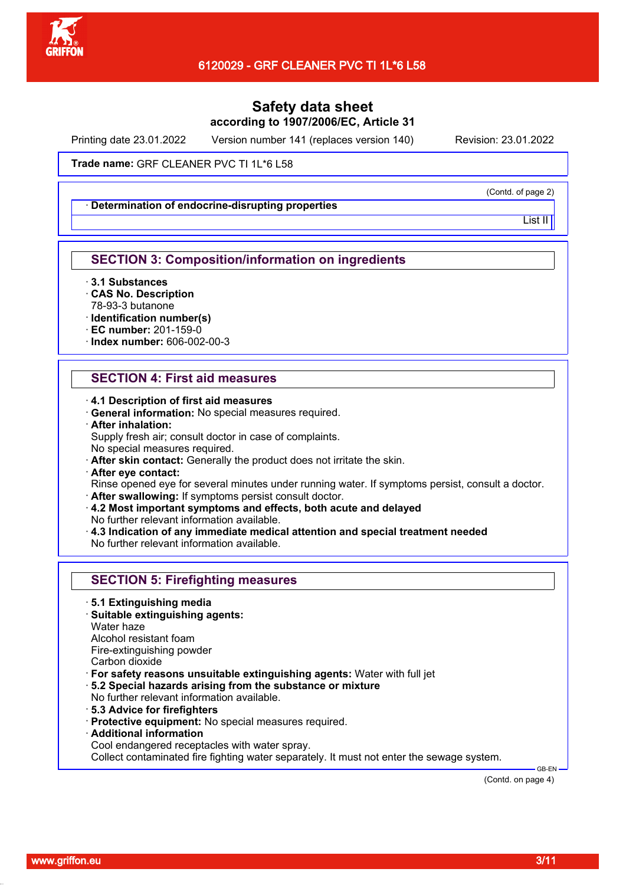

Printing date 23.01.2022 Version number 141 (replaces version 140) Revision: 23.01.2022

Trade name: GRF CLEANER PVC TI 1L\*6 L58

· **Determination of endocrine-disrupting properties**

(Contd. of page 2)

List II

## **SECTION 3: Composition/information on ingredients**

- · **3.1 Substances**
- · **CAS No. Description**
- 78-93-3 butanone
- · **Identification number(s)**
- · **EC number:** 201-159-0
- · **Index number:** 606-002-00-3

## **SECTION 4: First aid measures**

- · **4.1 Description of first aid measures**
- · **General information:** No special measures required.
- · **After inhalation:**
- Supply fresh air; consult doctor in case of complaints. No special measures required.
- · **After skin contact:** Generally the product does not irritate the skin.
- · **After eye contact:**

Rinse opened eye for several minutes under running water. If symptoms persist, consult a doctor. · **After swallowing:** If symptoms persist consult doctor.

- · **4.2 Most important symptoms and effects, both acute and delayed**
- No further relevant information available.
- · **4.3 Indication of any immediate medical attention and special treatment needed** No further relevant information available.

|  | <b>SECTION 5: Firefighting measures</b> |  |
|--|-----------------------------------------|--|
|--|-----------------------------------------|--|

- · **5.1 Extinguishing media**
- · **Suitable extinguishing agents:**
- Water haze

Alcohol resistant foam

Fire-extinguishing powder

- Carbon dioxide
- · **For safety reasons unsuitable extinguishing agents:** Water with full jet
- · **5.2 Special hazards arising from the substance or mixture**
- No further relevant information available.
- · **5.3 Advice for firefighters**
- · **Protective equipment:** No special measures required.
- · **Additional information**
- Cool endangered receptacles with water spray.

Collect contaminated fire fighting water separately. It must not enter the sewage system.

(Contd. on page 4)

 $-$ GB-EN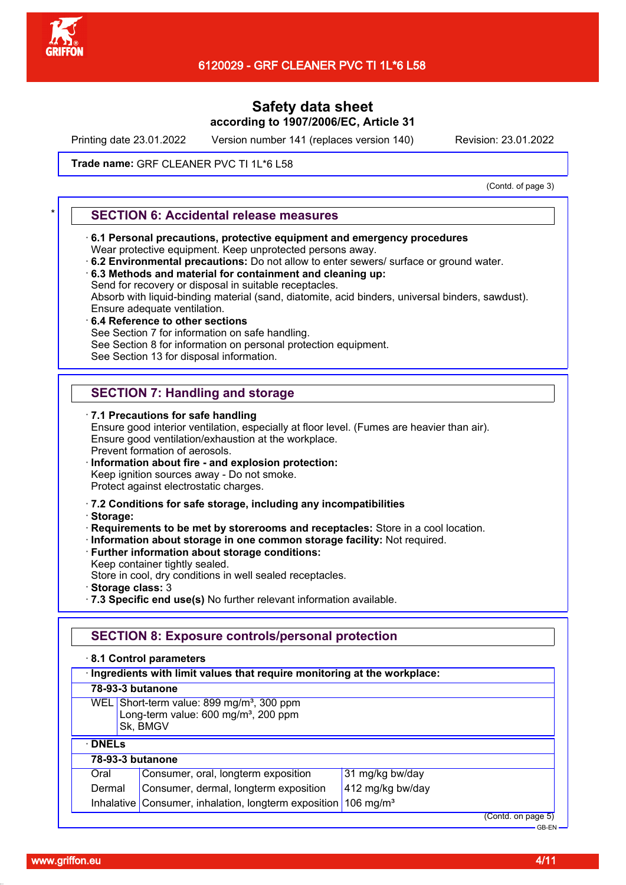

Printing date 23.01.2022 Version number 141 (replaces version 140) Revision: 23.01.2022

### Trade name: GRF CLEANER PVC TI 1L\*6 L58

(Contd. of page 3)

### \* **SECTION 6: Accidental release measures**

- · **6.1 Personal precautions, protective equipment and emergency procedures** Wear protective equipment. Keep unprotected persons away.
- · **6.2 Environmental precautions:** Do not allow to enter sewers/ surface or ground water.
- · **6.3 Methods and material for containment and cleaning up:** Send for recovery or disposal in suitable receptacles. Absorb with liquid-binding material (sand, diatomite, acid binders, universal binders, sawdust).
- Ensure adequate ventilation.
- · **6.4 Reference to other sections**

See Section 7 for information on safe handling.

See Section 8 for information on personal protection equipment.

See Section 13 for disposal information.

# **SECTION 7: Handling and storage**

· **7.1 Precautions for safe handling** Ensure good interior ventilation, especially at floor level. (Fumes are heavier than air). Ensure good ventilation/exhaustion at the workplace. Prevent formation of aerosols. · **Information about fire - and explosion protection:**

Keep ignition sources away - Do not smoke.

Protect against electrostatic charges.

- · **7.2 Conditions for safe storage, including any incompatibilities**
- · **Storage:**
- · **Requirements to be met by storerooms and receptacles:** Store in a cool location.
- · **Information about storage in one common storage facility:** Not required.
- · **Further information about storage conditions:**
- Keep container tightly sealed.

Store in cool, dry conditions in well sealed receptacles.

- · **Storage class:** 3
- · **7.3 Specific end use(s)** No further relevant information available.

## **SECTION 8: Exposure controls/personal protection**

· **8.1 Control parameters**

| 78-93-3 butanone<br>WEL Short-term value: 899 mg/m <sup>3</sup> , 300 ppm<br>Long-term value: 600 mg/m <sup>3</sup> , 200 ppm<br>Sk, BMGV<br>$\cdot$ DNELs<br>78-93-3 butanone | · Ingredients with limit values that require monitoring at the workplace: |                                   |  |
|--------------------------------------------------------------------------------------------------------------------------------------------------------------------------------|---------------------------------------------------------------------------|-----------------------------------|--|
|                                                                                                                                                                                |                                                                           |                                   |  |
|                                                                                                                                                                                |                                                                           |                                   |  |
|                                                                                                                                                                                |                                                                           |                                   |  |
|                                                                                                                                                                                |                                                                           |                                   |  |
|                                                                                                                                                                                | Consumer, oral, longterm exposition<br>Oral                               | 31 mg/kg bw/day                   |  |
| 412 mg/kg bw/day<br>Consumer, dermal, longterm exposition<br>Dermal                                                                                                            |                                                                           |                                   |  |
| Inhalative   Consumer, inhalation, longterm exposition  <br>106 mg/m <sup>3</sup>                                                                                              |                                                                           |                                   |  |
|                                                                                                                                                                                |                                                                           | (Contd. on page 5)<br>$-$ GB-FN - |  |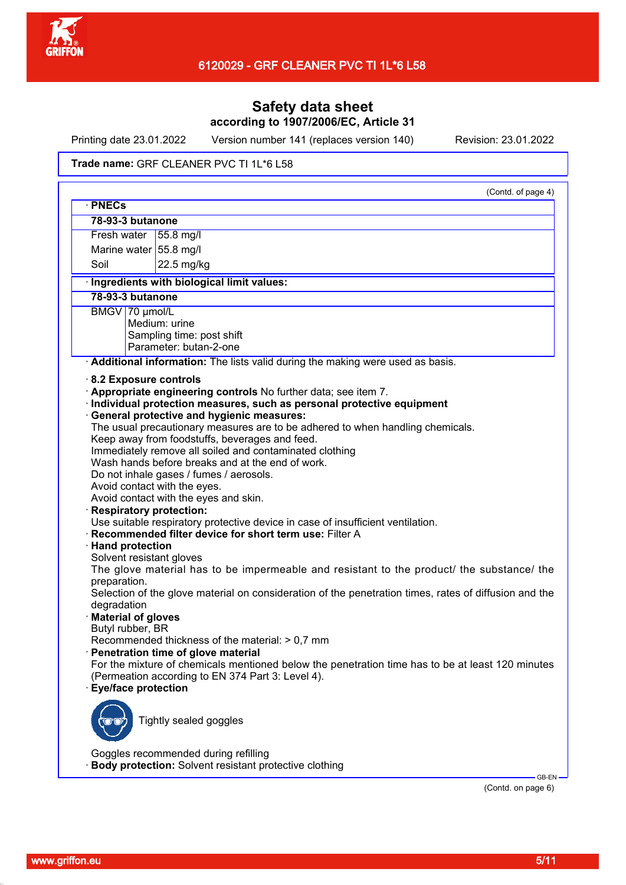

Printing date 23.01.2022 Version number 141 (replaces version 140) Revision: 23.01.2022

#### Trade name: GRF CLEANER PVC TI 1L\*6 L58

| · PNECs                                                                                               |                                                                                                |                                                                                                  |
|-------------------------------------------------------------------------------------------------------|------------------------------------------------------------------------------------------------|--------------------------------------------------------------------------------------------------|
| 78-93-3 butanone                                                                                      |                                                                                                |                                                                                                  |
| Fresh water                                                                                           | 55.8 mg/l                                                                                      |                                                                                                  |
|                                                                                                       | Marine water 55.8 mg/l                                                                         |                                                                                                  |
| Soil                                                                                                  | 22.5 mg/kg                                                                                     |                                                                                                  |
|                                                                                                       | · Ingredients with biological limit values:                                                    |                                                                                                  |
| 78-93-3 butanone                                                                                      |                                                                                                |                                                                                                  |
| BMGV 70 µmol/L                                                                                        |                                                                                                |                                                                                                  |
|                                                                                                       | Medium: urine                                                                                  |                                                                                                  |
|                                                                                                       | Sampling time: post shift                                                                      |                                                                                                  |
|                                                                                                       | Parameter: butan-2-one                                                                         |                                                                                                  |
|                                                                                                       |                                                                                                | Additional information: The lists valid during the making were used as basis.                    |
|                                                                                                       | 8.2 Exposure controls                                                                          |                                                                                                  |
|                                                                                                       | · Appropriate engineering controls No further data; see item 7.                                |                                                                                                  |
|                                                                                                       |                                                                                                | · Individual protection measures, such as personal protective equipment                          |
|                                                                                                       | · General protective and hygienic measures:                                                    |                                                                                                  |
|                                                                                                       |                                                                                                | The usual precautionary measures are to be adhered to when handling chemicals.                   |
|                                                                                                       | Keep away from foodstuffs, beverages and feed.                                                 |                                                                                                  |
|                                                                                                       | Immediately remove all soiled and contaminated clothing                                        |                                                                                                  |
|                                                                                                       | Wash hands before breaks and at the end of work.                                               |                                                                                                  |
|                                                                                                       | Do not inhale gases / fumes / aerosols.                                                        |                                                                                                  |
|                                                                                                       | Avoid contact with the eyes.                                                                   |                                                                                                  |
|                                                                                                       | Avoid contact with the eyes and skin.                                                          |                                                                                                  |
|                                                                                                       | · Respiratory protection:                                                                      |                                                                                                  |
|                                                                                                       |                                                                                                | Use suitable respiratory protective device in case of insufficient ventilation.                  |
|                                                                                                       | · Recommended filter device for short term use: Filter A                                       |                                                                                                  |
| · Hand protection                                                                                     |                                                                                                |                                                                                                  |
|                                                                                                       | Solvent resistant gloves                                                                       |                                                                                                  |
|                                                                                                       |                                                                                                | The glove material has to be impermeable and resistant to the product/ the substance/ the        |
| preparation.                                                                                          |                                                                                                |                                                                                                  |
| Selection of the glove material on consideration of the penetration times, rates of diffusion and the |                                                                                                |                                                                                                  |
| degradation                                                                                           |                                                                                                |                                                                                                  |
| · Material of gloves                                                                                  |                                                                                                |                                                                                                  |
| Butyl rubber, BR                                                                                      |                                                                                                |                                                                                                  |
|                                                                                                       | Recommended thickness of the material: $> 0.7$ mm                                              |                                                                                                  |
|                                                                                                       | · Penetration time of glove material                                                           |                                                                                                  |
|                                                                                                       |                                                                                                | For the mixture of chemicals mentioned below the penetration time has to be at least 120 minutes |
|                                                                                                       | (Permeation according to EN 374 Part 3: Level 4).                                              |                                                                                                  |
|                                                                                                       | · Eye/face protection                                                                          |                                                                                                  |
|                                                                                                       |                                                                                                |                                                                                                  |
|                                                                                                       |                                                                                                |                                                                                                  |
|                                                                                                       | Tightly sealed goggles                                                                         |                                                                                                  |
|                                                                                                       |                                                                                                |                                                                                                  |
|                                                                                                       |                                                                                                |                                                                                                  |
|                                                                                                       | Goggles recommended during refilling<br>Body protection: Solvent resistant protective clothing |                                                                                                  |
|                                                                                                       |                                                                                                |                                                                                                  |

(Contd. on page 6)

GB-EN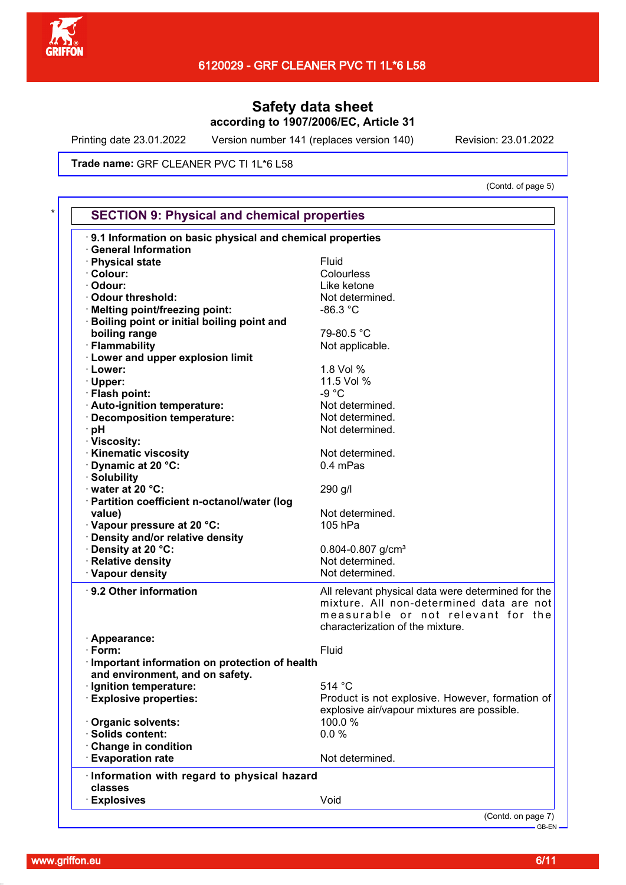

Printing date 23.01.2022 Version number 141 (replaces version 140) Revision: 23.01.2022

Trade name: GRF CLEANER PVC TI 1L\*6 L58

(Contd. of page 5)

| <b>General Information</b><br>· Physical state<br>Fluid<br>Colourless<br>Like ketone<br>Not determined.<br>$-86.3 °C$<br>Melting point/freezing point:<br>79-80.5 °C<br>boiling range<br>Not applicable.<br>1.8 Vol %<br>11.5 Vol %<br>$-9 °C$<br>Not determined.<br>Decomposition temperature:<br>Not determined.<br>Not determined.<br>Not determined.<br>0.4 mPas<br>290 g/l<br>Not determined.<br>value)<br>105 hPa<br>Density at 20 °C:<br>$0.804 - 0.807$ g/cm <sup>3</sup><br>Not determined.<br>Not determined.<br>All relevant physical data were determined for the<br>mixture. All non-determined data are not<br>measurable or not relevant for the<br>characterization of the mixture.<br>Fluid<br>and environment, and on safety.<br>514 °C<br>Product is not explosive. However, formation of<br>explosive air/vapour mixtures are possible.<br>100.0%<br>Organic solvents:<br>0.0%<br>Change in condition<br>Not determined.<br><b>Evaporation rate</b><br>classes<br>Void<br><b>Explosives</b> | 9.1 Information on basic physical and chemical properties |  |
|-----------------------------------------------------------------------------------------------------------------------------------------------------------------------------------------------------------------------------------------------------------------------------------------------------------------------------------------------------------------------------------------------------------------------------------------------------------------------------------------------------------------------------------------------------------------------------------------------------------------------------------------------------------------------------------------------------------------------------------------------------------------------------------------------------------------------------------------------------------------------------------------------------------------------------------------------------------------------------------------------------------------|-----------------------------------------------------------|--|
| · Colour:<br>· Odour:<br>Odour threshold:<br><b>Boiling point or initial boiling point and</b><br>· Flammability<br>water at 20 $^{\circ}$ C:<br>· Density and/or relative density<br>· Appearance:<br>$\cdot$ Form:<br>Important information on protection of health<br>· Ignition temperature:<br><b>Explosive properties:</b><br>· Solids content:<br>Information with regard to physical hazard                                                                                                                                                                                                                                                                                                                                                                                                                                                                                                                                                                                                             |                                                           |  |
|                                                                                                                                                                                                                                                                                                                                                                                                                                                                                                                                                                                                                                                                                                                                                                                                                                                                                                                                                                                                                 |                                                           |  |
|                                                                                                                                                                                                                                                                                                                                                                                                                                                                                                                                                                                                                                                                                                                                                                                                                                                                                                                                                                                                                 |                                                           |  |
|                                                                                                                                                                                                                                                                                                                                                                                                                                                                                                                                                                                                                                                                                                                                                                                                                                                                                                                                                                                                                 |                                                           |  |
|                                                                                                                                                                                                                                                                                                                                                                                                                                                                                                                                                                                                                                                                                                                                                                                                                                                                                                                                                                                                                 |                                                           |  |
|                                                                                                                                                                                                                                                                                                                                                                                                                                                                                                                                                                                                                                                                                                                                                                                                                                                                                                                                                                                                                 |                                                           |  |
|                                                                                                                                                                                                                                                                                                                                                                                                                                                                                                                                                                                                                                                                                                                                                                                                                                                                                                                                                                                                                 |                                                           |  |
| <b>Lower and upper explosion limit</b><br>· Lower:<br>· Upper:<br>· Flash point:<br>· Auto-ignition temperature:<br>∴pH<br>· Viscosity:                                                                                                                                                                                                                                                                                                                                                                                                                                                                                                                                                                                                                                                                                                                                                                                                                                                                         |                                                           |  |
|                                                                                                                                                                                                                                                                                                                                                                                                                                                                                                                                                                                                                                                                                                                                                                                                                                                                                                                                                                                                                 |                                                           |  |
|                                                                                                                                                                                                                                                                                                                                                                                                                                                                                                                                                                                                                                                                                                                                                                                                                                                                                                                                                                                                                 |                                                           |  |
|                                                                                                                                                                                                                                                                                                                                                                                                                                                                                                                                                                                                                                                                                                                                                                                                                                                                                                                                                                                                                 |                                                           |  |
|                                                                                                                                                                                                                                                                                                                                                                                                                                                                                                                                                                                                                                                                                                                                                                                                                                                                                                                                                                                                                 |                                                           |  |
|                                                                                                                                                                                                                                                                                                                                                                                                                                                                                                                                                                                                                                                                                                                                                                                                                                                                                                                                                                                                                 |                                                           |  |
|                                                                                                                                                                                                                                                                                                                                                                                                                                                                                                                                                                                                                                                                                                                                                                                                                                                                                                                                                                                                                 |                                                           |  |
|                                                                                                                                                                                                                                                                                                                                                                                                                                                                                                                                                                                                                                                                                                                                                                                                                                                                                                                                                                                                                 |                                                           |  |
|                                                                                                                                                                                                                                                                                                                                                                                                                                                                                                                                                                                                                                                                                                                                                                                                                                                                                                                                                                                                                 |                                                           |  |
| · Kinematic viscosity<br>Dynamic at 20 °C:<br>· Solubility<br>· Partition coefficient n-octanol/water (log<br>· Vapour pressure at 20 °C:<br>· Relative density<br>· Vapour density<br>9.2 Other information                                                                                                                                                                                                                                                                                                                                                                                                                                                                                                                                                                                                                                                                                                                                                                                                    |                                                           |  |
|                                                                                                                                                                                                                                                                                                                                                                                                                                                                                                                                                                                                                                                                                                                                                                                                                                                                                                                                                                                                                 |                                                           |  |
|                                                                                                                                                                                                                                                                                                                                                                                                                                                                                                                                                                                                                                                                                                                                                                                                                                                                                                                                                                                                                 |                                                           |  |
|                                                                                                                                                                                                                                                                                                                                                                                                                                                                                                                                                                                                                                                                                                                                                                                                                                                                                                                                                                                                                 |                                                           |  |
|                                                                                                                                                                                                                                                                                                                                                                                                                                                                                                                                                                                                                                                                                                                                                                                                                                                                                                                                                                                                                 |                                                           |  |
|                                                                                                                                                                                                                                                                                                                                                                                                                                                                                                                                                                                                                                                                                                                                                                                                                                                                                                                                                                                                                 |                                                           |  |
|                                                                                                                                                                                                                                                                                                                                                                                                                                                                                                                                                                                                                                                                                                                                                                                                                                                                                                                                                                                                                 |                                                           |  |
|                                                                                                                                                                                                                                                                                                                                                                                                                                                                                                                                                                                                                                                                                                                                                                                                                                                                                                                                                                                                                 |                                                           |  |
|                                                                                                                                                                                                                                                                                                                                                                                                                                                                                                                                                                                                                                                                                                                                                                                                                                                                                                                                                                                                                 |                                                           |  |
|                                                                                                                                                                                                                                                                                                                                                                                                                                                                                                                                                                                                                                                                                                                                                                                                                                                                                                                                                                                                                 |                                                           |  |
|                                                                                                                                                                                                                                                                                                                                                                                                                                                                                                                                                                                                                                                                                                                                                                                                                                                                                                                                                                                                                 |                                                           |  |
|                                                                                                                                                                                                                                                                                                                                                                                                                                                                                                                                                                                                                                                                                                                                                                                                                                                                                                                                                                                                                 |                                                           |  |
|                                                                                                                                                                                                                                                                                                                                                                                                                                                                                                                                                                                                                                                                                                                                                                                                                                                                                                                                                                                                                 |                                                           |  |
|                                                                                                                                                                                                                                                                                                                                                                                                                                                                                                                                                                                                                                                                                                                                                                                                                                                                                                                                                                                                                 |                                                           |  |
|                                                                                                                                                                                                                                                                                                                                                                                                                                                                                                                                                                                                                                                                                                                                                                                                                                                                                                                                                                                                                 |                                                           |  |
|                                                                                                                                                                                                                                                                                                                                                                                                                                                                                                                                                                                                                                                                                                                                                                                                                                                                                                                                                                                                                 |                                                           |  |
|                                                                                                                                                                                                                                                                                                                                                                                                                                                                                                                                                                                                                                                                                                                                                                                                                                                                                                                                                                                                                 |                                                           |  |
|                                                                                                                                                                                                                                                                                                                                                                                                                                                                                                                                                                                                                                                                                                                                                                                                                                                                                                                                                                                                                 |                                                           |  |
|                                                                                                                                                                                                                                                                                                                                                                                                                                                                                                                                                                                                                                                                                                                                                                                                                                                                                                                                                                                                                 |                                                           |  |
|                                                                                                                                                                                                                                                                                                                                                                                                                                                                                                                                                                                                                                                                                                                                                                                                                                                                                                                                                                                                                 |                                                           |  |
|                                                                                                                                                                                                                                                                                                                                                                                                                                                                                                                                                                                                                                                                                                                                                                                                                                                                                                                                                                                                                 |                                                           |  |
|                                                                                                                                                                                                                                                                                                                                                                                                                                                                                                                                                                                                                                                                                                                                                                                                                                                                                                                                                                                                                 |                                                           |  |
|                                                                                                                                                                                                                                                                                                                                                                                                                                                                                                                                                                                                                                                                                                                                                                                                                                                                                                                                                                                                                 |                                                           |  |
|                                                                                                                                                                                                                                                                                                                                                                                                                                                                                                                                                                                                                                                                                                                                                                                                                                                                                                                                                                                                                 |                                                           |  |
|                                                                                                                                                                                                                                                                                                                                                                                                                                                                                                                                                                                                                                                                                                                                                                                                                                                                                                                                                                                                                 |                                                           |  |
|                                                                                                                                                                                                                                                                                                                                                                                                                                                                                                                                                                                                                                                                                                                                                                                                                                                                                                                                                                                                                 |                                                           |  |
|                                                                                                                                                                                                                                                                                                                                                                                                                                                                                                                                                                                                                                                                                                                                                                                                                                                                                                                                                                                                                 |                                                           |  |
|                                                                                                                                                                                                                                                                                                                                                                                                                                                                                                                                                                                                                                                                                                                                                                                                                                                                                                                                                                                                                 |                                                           |  |
|                                                                                                                                                                                                                                                                                                                                                                                                                                                                                                                                                                                                                                                                                                                                                                                                                                                                                                                                                                                                                 |                                                           |  |
|                                                                                                                                                                                                                                                                                                                                                                                                                                                                                                                                                                                                                                                                                                                                                                                                                                                                                                                                                                                                                 |                                                           |  |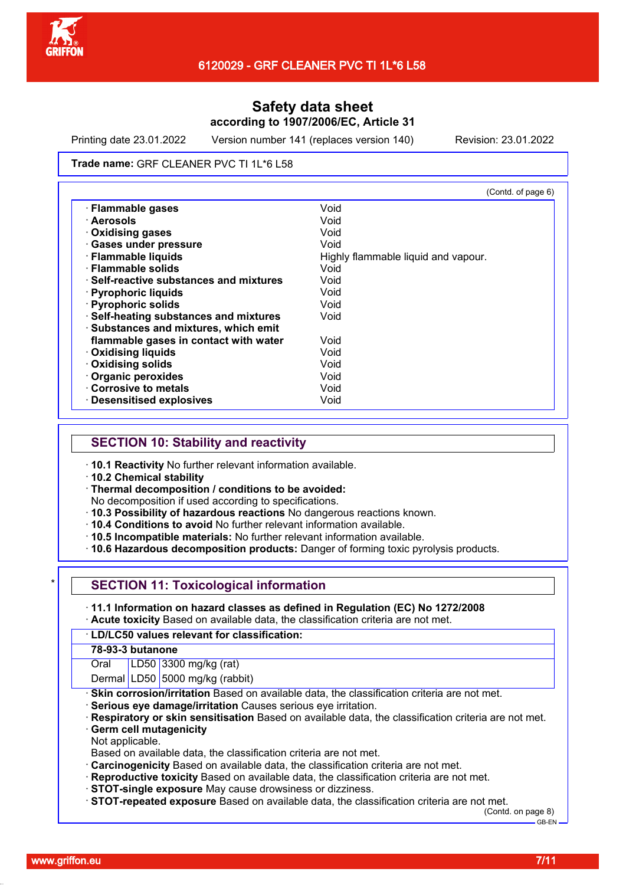

Printing date 23.01.2022 Version number 141 (replaces version 140) Revision: 23.01.2022

#### Trade name: GRF CLEANER PVC TI 1L\*6 L58

|                                               | (Contd. of page 6)                  |
|-----------------------------------------------|-------------------------------------|
| · Flammable gases                             | Void                                |
| · Aerosols                                    | Void                                |
| · Oxidising gases                             | Void                                |
| <b>Gases under pressure</b>                   | Void                                |
| · Flammable liquids                           | Highly flammable liquid and vapour. |
| $\cdot$ Flammable solids                      | Void                                |
| $\cdot$ Self-reactive substances and mixtures | Void                                |
| · Pyrophoric liquids                          | Void                                |
| · Pyrophoric solids                           | Void                                |
| · Self-heating substances and mixtures        | Void                                |
| · Substances and mixtures, which emit         |                                     |
| flammable gases in contact with water         | Void                                |
| <b>Oxidising liquids</b>                      | Void                                |
| <b>Oxidising solids</b>                       | Void                                |
| <b>Organic peroxides</b>                      | Void                                |
| <b>Corrosive to metals</b>                    | Void                                |
| <b>Desensitised explosives</b>                | Void                                |

## **SECTION 10: Stability and reactivity**

- · **10.1 Reactivity** No further relevant information available.
- · **10.2 Chemical stability**
- · **Thermal decomposition / conditions to be avoided:**

No decomposition if used according to specifications.

- · **10.3 Possibility of hazardous reactions** No dangerous reactions known.
- · **10.4 Conditions to avoid** No further relevant information available.
- · **10.5 Incompatible materials:** No further relevant information available.
- · **10.6 Hazardous decomposition products:** Danger of forming toxic pyrolysis products.

### **SECTION 11: Toxicological information**

· **11.1 Information on hazard classes as defined in Regulation (EC) No 1272/2008** · **Acute toxicity** Based on available data, the classification criteria are not met.

#### · **LD/LC50 values relevant for classification:**

### **78-93-3 butanone**

Oral LD50 3300 mg/kg (rat)

Dermal LD50 5000 mg/kg (rabbit)

· **Skin corrosion/irritation** Based on available data, the classification criteria are not met.

- · **Serious eye damage/irritation** Causes serious eye irritation.
- · **Respiratory or skin sensitisation** Based on available data, the classification criteria are not met.
- **Germ cell mutagenicity**

Not applicable.

Based on available data, the classification criteria are not met.

- · **Carcinogenicity** Based on available data, the classification criteria are not met.
- · **Reproductive toxicity** Based on available data, the classification criteria are not met.
- · **STOT-single exposure** May cause drowsiness or dizziness.
- · **STOT-repeated exposure** Based on available data, the classification criteria are not met.

(Contd. on page 8) GB-EN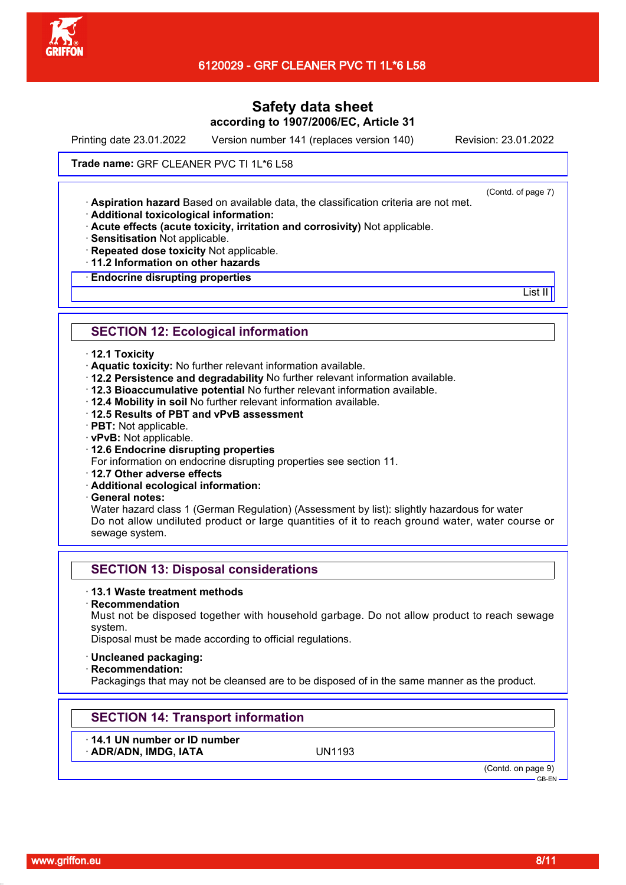

Printing date 23.01.2022 Version number 141 (replaces version 140) Revision: 23.01.2022

### Trade name: GRF CLEANER PVC TI 1L\*6 L58

(Contd. of page 7)

List II<sup>I</sup>

· **Aspiration hazard** Based on available data, the classification criteria are not met.

· **Additional toxicological information:**

· **Acute effects (acute toxicity, irritation and corrosivity)** Not applicable.

· **Sensitisation** Not applicable.

- · **Repeated dose toxicity** Not applicable.
- · **11.2 Information on other hazards**

· **Endocrine disrupting properties**

## **SECTION 12: Ecological information**

#### · **12.1 Toxicity**

- · **Aquatic toxicity:** No further relevant information available.
- · **12.2 Persistence and degradability** No further relevant information available.
- · **12.3 Bioaccumulative potential** No further relevant information available.
- · **12.4 Mobility in soil** No further relevant information available.
- · **12.5 Results of PBT and vPvB assessment**
- · **PBT:** Not applicable.
- · **vPvB:** Not applicable.
- · **12.6 Endocrine disrupting properties**

For information on endocrine disrupting properties see section 11.

- · **12.7 Other adverse effects**
- · **Additional ecological information:**

· **General notes:**

Water hazard class 1 (German Regulation) (Assessment by list): slightly hazardous for water Do not allow undiluted product or large quantities of it to reach ground water, water course or sewage system.

## **SECTION 13: Disposal considerations**

### · **13.1 Waste treatment methods**

· **Recommendation**

Must not be disposed together with household garbage. Do not allow product to reach sewage system.

Disposal must be made according to official regulations.

#### · **Uncleaned packaging:**

· **Recommendation:**

Packagings that may not be cleansed are to be disposed of in the same manner as the product.

# **SECTION 14: Transport information**

· **14.1 UN number or ID number**

· **ADR/ADN, IMDG, IATA** UN1193

(Contd. on page 9)

GB-EN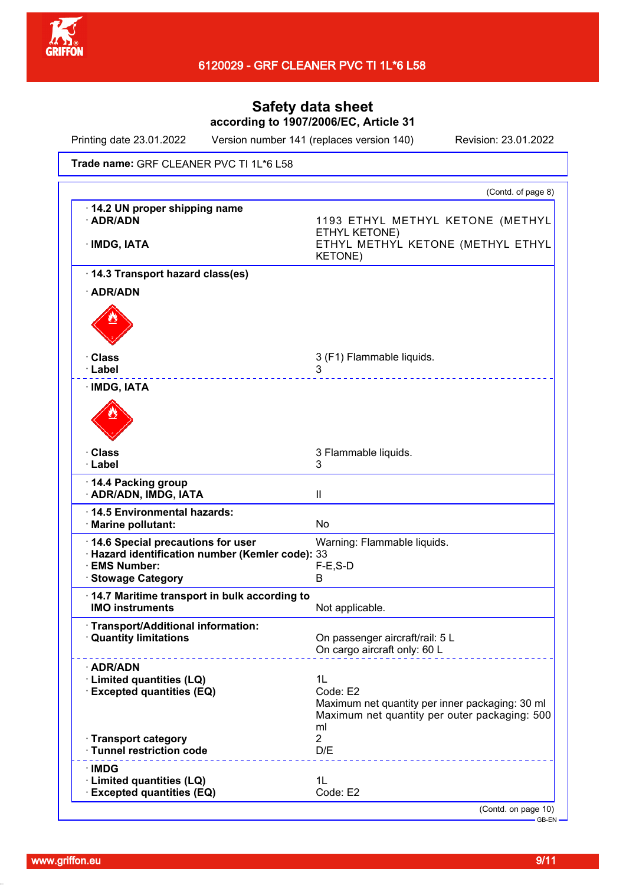

Printing date 23.01.2022 Version number 141 (replaces version 140) Revision: 23.01.2022

Trade name: GRF CLEANER PVC TI 1L\*6 L58

|                                                                           | (Contd. of page 8)                                                                                                       |
|---------------------------------------------------------------------------|--------------------------------------------------------------------------------------------------------------------------|
| 14.2 UN proper shipping name<br>· ADR/ADN<br>· IMDG, IATA                 | 1193 ETHYL METHYL KETONE (METHYL<br>ETHYL KETONE)<br>ETHYL METHYL KETONE (METHYL ETHYL<br><b>KETONE)</b>                 |
| 14.3 Transport hazard class(es)                                           |                                                                                                                          |
| · ADR/ADN                                                                 |                                                                                                                          |
|                                                                           |                                                                                                                          |
| · Class                                                                   | 3 (F1) Flammable liquids.                                                                                                |
| · Label<br>· IMDG, IATA                                                   | 3<br>.                                                                                                                   |
|                                                                           |                                                                                                                          |
| · Class<br>· Label                                                        | 3 Flammable liquids.<br>3                                                                                                |
| 14.4 Packing group<br>· ADR/ADN, IMDG, IATA                               | Ш                                                                                                                        |
| 14.5 Environmental hazards:<br>· Marine pollutant:                        | No                                                                                                                       |
| 14.6 Special precautions for user                                         | Warning: Flammable liquids.                                                                                              |
| · Hazard identification number (Kemler code): 33<br>· EMS Number:         | $F-E$ , S-D                                                                                                              |
| <b>Stowage Category</b>                                                   | B                                                                                                                        |
| 14.7 Maritime transport in bulk according to<br><b>IMO instruments</b>    | Not applicable.                                                                                                          |
| Transport/Additional information:<br><b>Quantity limitations</b>          | On passenger aircraft/rail: 5 L<br>On cargo aircraft only: 60 L                                                          |
| · ADR/ADN<br>· Limited quantities (LQ)<br><b>Excepted quantities (EQ)</b> | 1L<br>Code: E2<br>Maximum net quantity per inner packaging: 30 ml<br>Maximum net quantity per outer packaging: 500<br>ml |
| · Transport category<br>· Tunnel restriction code                         | $\overline{2}$<br>D/E                                                                                                    |
| · IMDG<br>· Limited quantities (LQ)                                       | 1L<br>Code: E2                                                                                                           |
| · Excepted quantities (EQ)                                                | $(Contd)$ on page $10$ )                                                                                                 |

(Contd. on pag

GB-EN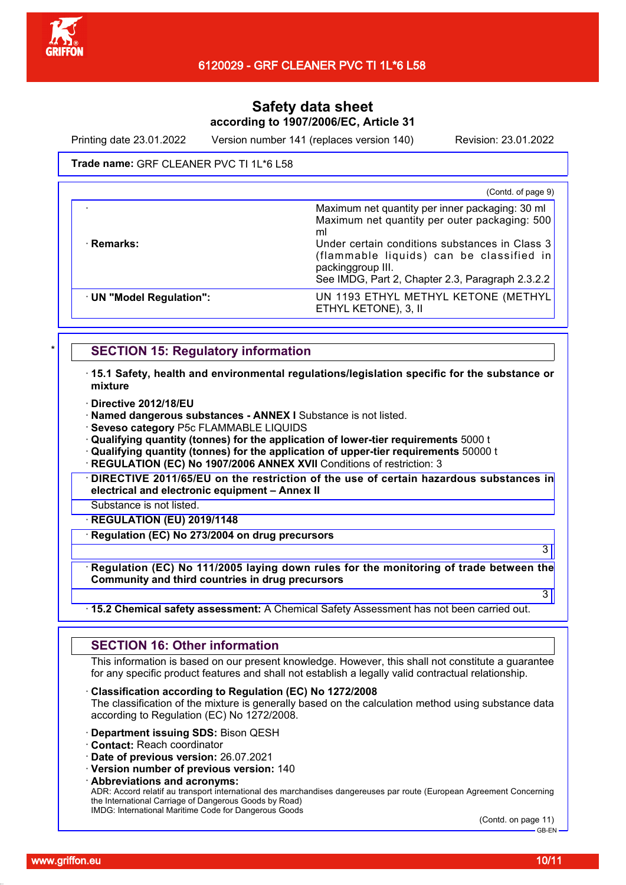

Printing date 23.01.2022 Version number 141 (replaces version 140) Revision: 23.01.2022

### Trade name: GRF CLEANER PVC TI 1L\*6 L58

|                        | (Contd. of page 9)                                                                                                                                                                                                                                                            |
|------------------------|-------------------------------------------------------------------------------------------------------------------------------------------------------------------------------------------------------------------------------------------------------------------------------|
| · Remarks:             | Maximum net quantity per inner packaging: 30 ml<br>Maximum net quantity per outer packaging: 500<br>ml<br>Under certain conditions substances in Class 3<br>(flammable liquids) can be classified in<br>packinggroup III.<br>See IMDG, Part 2, Chapter 2.3, Paragraph 2.3.2.2 |
| UN "Model Regulation": | UN 1193 ETHYL METHYL KETONE (METHYL<br>ETHYL KETONE), 3, II                                                                                                                                                                                                                   |

## **SECTION 15: Regulatory information**

· **15.1 Safety, health and environmental regulations/legislation specific for the substance or mixture**

- · **Directive 2012/18/EU**
- · **Named dangerous substances ANNEX I** Substance is not listed.
- · **Seveso category** P5c FLAMMABLE LIQUIDS

· **Qualifying quantity (tonnes) for the application of lower-tier requirements** 5000 t

· **Qualifying quantity (tonnes) for the application of upper-tier requirements** 50000 t

**REGULATION (EC) No 1907/2006 ANNEX XVII Conditions of restriction: 3** 

· **DIRECTIVE 2011/65/EU on the restriction of the use of certain hazardous substances in electrical and electronic equipment – Annex II**

Substance is not listed.

· **REGULATION (EU) 2019/1148**

· **Regulation (EC) No 273/2004 on drug precursors**

· **Regulation (EC) No 111/2005 laying down rules for the monitoring of trade between the Community and third countries in drug precursors**

### · **15.2 Chemical safety assessment:** A Chemical Safety Assessment has not been carried out.

## **SECTION 16: Other information**

This information is based on our present knowledge. However, this shall not constitute a guarantee for any specific product features and shall not establish a legally valid contractual relationship.

· **Classification according to Regulation (EC) No 1272/2008**

The classification of the mixture is generally based on the calculation method using substance data according to Regulation (EC) No 1272/2008.

- · **Department issuing SDS:** Bison QESH
- · **Contact:** Reach coordinator
- · **Date of previous version:** 26.07.2021

· **Version number of previous version:** 140

· **Abbreviations and acronyms:**

ADR: Accord relatif au transport international des marchandises dangereuses par route (European Agreement Concerning the International Carriage of Dangerous Goods by Road) IMDG: International Maritime Code for Dangerous Goods

(Contd. on page 11) GB-EN

3

3